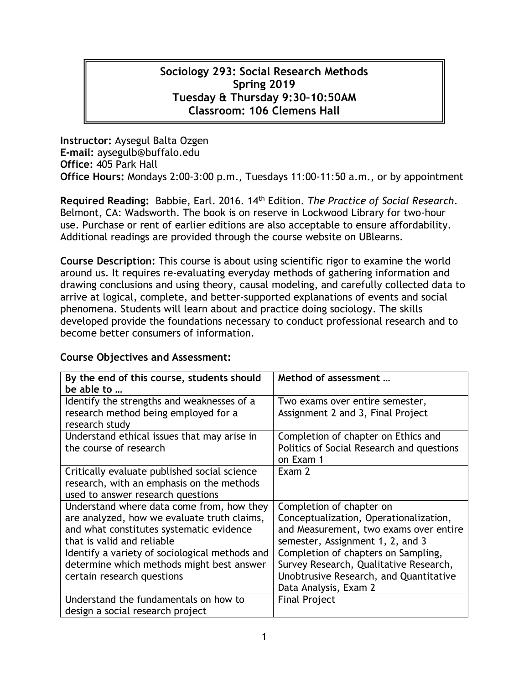# **Sociology 293: Social Research Methods Spring 2019 Tuesday & Thursday 9:30–10:50AM Classroom: 106 Clemens Hall**

**Instructor:** Aysegul Balta Ozgen **E-mail:** aysegulb@buffalo.edu **Office:** 405 Park Hall **Office Hours:** Mondays 2:00-3:00 p.m., Tuesdays 11:00-11:50 a.m., or by appointment

**Required Reading:** Babbie, Earl. 2016. 14th Edition. *The Practice of Social Research*. Belmont, CA: Wadsworth. The book is on reserve in Lockwood Library for two-hour use. Purchase or rent of earlier editions are also acceptable to ensure affordability. Additional readings are provided through the course website on UBlearns.

**Course Description:** This course is about using scientific rigor to examine the world around us. It requires re-evaluating everyday methods of gathering information and drawing conclusions and using theory, causal modeling, and carefully collected data to arrive at logical, complete, and better-supported explanations of events and social phenomena. Students will learn about and practice doing sociology. The skills developed provide the foundations necessary to conduct professional research and to become better consumers of information.

### **Course Objectives and Assessment:**

| By the end of this course, students should<br>be able to                           | Method of assessment                                                 |
|------------------------------------------------------------------------------------|----------------------------------------------------------------------|
| Identify the strengths and weaknesses of a<br>research method being employed for a | Two exams over entire semester,<br>Assignment 2 and 3, Final Project |
| research study                                                                     |                                                                      |
| Understand ethical issues that may arise in                                        | Completion of chapter on Ethics and                                  |
| the course of research                                                             | Politics of Social Research and questions                            |
|                                                                                    | on Exam 1                                                            |
| Critically evaluate published social science                                       | Exam 2                                                               |
| research, with an emphasis on the methods                                          |                                                                      |
| used to answer research questions                                                  |                                                                      |
| Understand where data come from, how they                                          | Completion of chapter on                                             |
| are analyzed, how we evaluate truth claims,                                        | Conceptualization, Operationalization,                               |
| and what constitutes systematic evidence                                           | and Measurement, two exams over entire                               |
| that is valid and reliable                                                         | semester, Assignment 1, 2, and 3                                     |
| Identify a variety of sociological methods and                                     | Completion of chapters on Sampling,                                  |
| determine which methods might best answer                                          | Survey Research, Qualitative Research,                               |
| certain research questions                                                         | Unobtrusive Research, and Quantitative                               |
|                                                                                    | Data Analysis, Exam 2                                                |
| Understand the fundamentals on how to                                              | <b>Final Project</b>                                                 |
| design a social research project                                                   |                                                                      |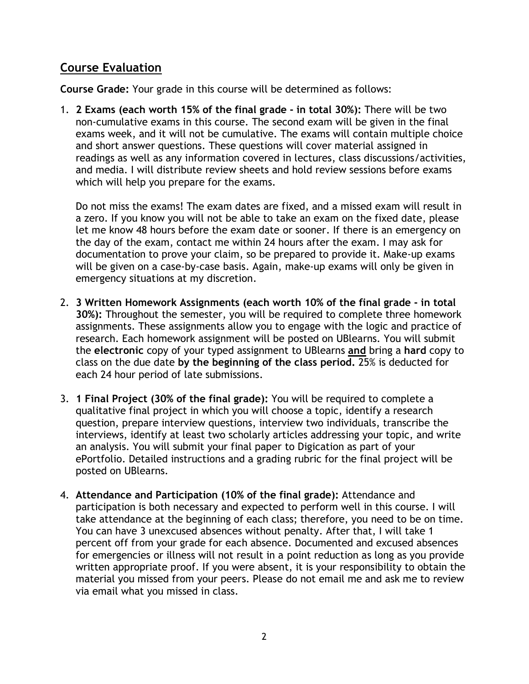# **Course Evaluation**

**Course Grade:** Your grade in this course will be determined as follows:

1. **2 Exams (each worth 15% of the final grade - in total 30%):** There will be two non-cumulative exams in this course. The second exam will be given in the final exams week, and it will not be cumulative. The exams will contain multiple choice and short answer questions. These questions will cover material assigned in readings as well as any information covered in lectures, class discussions/activities, and media. I will distribute review sheets and hold review sessions before exams which will help you prepare for the exams.

Do not miss the exams! The exam dates are fixed, and a missed exam will result in a zero. If you know you will not be able to take an exam on the fixed date, please let me know 48 hours before the exam date or sooner. If there is an emergency on the day of the exam, contact me within 24 hours after the exam. I may ask for documentation to prove your claim, so be prepared to provide it. Make-up exams will be given on a case-by-case basis. Again, make-up exams will only be given in emergency situations at my discretion.

- 2. **3 Written Homework Assignments (each worth 10% of the final grade - in total 30%):** Throughout the semester, you will be required to complete three homework assignments. These assignments allow you to engage with the logic and practice of research. Each homework assignment will be posted on UBlearns. You will submit the **electronic** copy of your typed assignment to UBlearns **and** bring a **hard** copy to class on the due date **by the beginning of the class period.** 25% is deducted for each 24 hour period of late submissions.
- 3. **1 Final Project (30% of the final grade):** You will be required to complete a qualitative final project in which you will choose a topic, identify a research question, prepare interview questions, interview two individuals, transcribe the interviews, identify at least two scholarly articles addressing your topic, and write an analysis. You will submit your final paper to Digication as part of your ePortfolio. Detailed instructions and a grading rubric for the final project will be posted on UBlearns.
- 4. **Attendance and Participation (10% of the final grade):** Attendance and participation is both necessary and expected to perform well in this course. I will take attendance at the beginning of each class; therefore, you need to be on time. You can have 3 unexcused absences without penalty. After that, I will take 1 percent off from your grade for each absence. Documented and excused absences for emergencies or illness will not result in a point reduction as long as you provide written appropriate proof. If you were absent, it is your responsibility to obtain the material you missed from your peers. Please do not email me and ask me to review via email what you missed in class.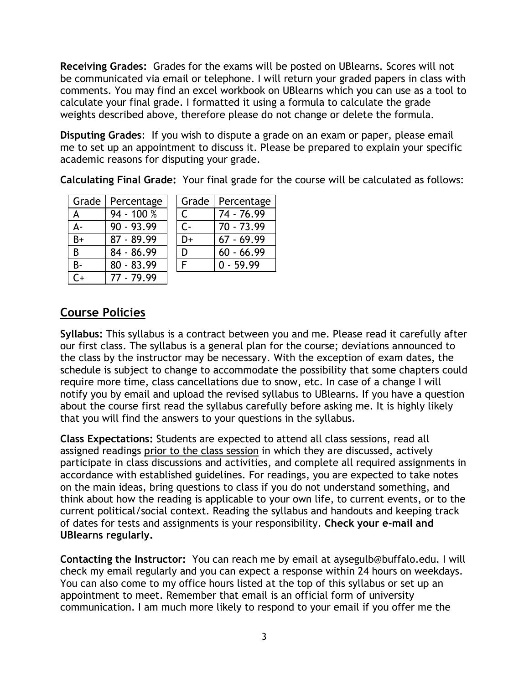**Receiving Grades:** Grades for the exams will be posted on UBlearns. Scores will not be communicated via email or telephone. I will return your graded papers in class with comments. You may find an excel workbook on UBlearns which you can use as a tool to calculate your final grade. I formatted it using a formula to calculate the grade weights described above, therefore please do not change or delete the formula.

**Disputing Grades**: If you wish to dispute a grade on an exam or paper, please email me to set up an appointment to discuss it. Please be prepared to explain your specific academic reasons for disputing your grade.

**Calculating Final Grade:** Your final grade for the course will be calculated as follows:

| Grade     | Percentage   | Grade        | Percentage   |
|-----------|--------------|--------------|--------------|
| A         | 94 - 100 %   | $\mathsf{C}$ | 74 - 76.99   |
| $A -$     | $90 - 93.99$ | $C -$        | $70 - 73.99$ |
| $B+$      | $87 - 89.99$ | D+           | $67 - 69.99$ |
| B         | 84 - 86.99   | D            | $60 - 66.99$ |
| <b>B-</b> | $80 - 83.99$ | F            | $0 - 59.99$  |
| $C_{+}$   | 77 - 79.99   |              |              |

# **Course Policies**

**Syllabus:** This syllabus is a contract between you and me. Please read it carefully after our first class. The syllabus is a general plan for the course; deviations announced to the class by the instructor may be necessary. With the exception of exam dates, the schedule is subject to change to accommodate the possibility that some chapters could require more time, class cancellations due to snow, etc. In case of a change I will notify you by email and upload the revised syllabus to UBlearns. If you have a question about the course first read the syllabus carefully before asking me. It is highly likely that you will find the answers to your questions in the syllabus.

**Class Expectations:** Students are expected to attend all class sessions, read all assigned readings prior to the class session in which they are discussed, actively participate in class discussions and activities, and complete all required assignments in accordance with established guidelines. For readings, you are expected to take notes on the main ideas, bring questions to class if you do not understand something, and think about how the reading is applicable to your own life, to current events, or to the current political/social context. Reading the syllabus and handouts and keeping track of dates for tests and assignments is your responsibility. **Check your e-mail and UBlearns regularly.** 

**Contacting the Instructor:** You can reach me by email at aysegulb@buffalo.edu. I will check my email regularly and you can expect a response within 24 hours on weekdays. You can also come to my office hours listed at the top of this syllabus or set up an appointment to meet. Remember that email is an official form of university communication. I am much more likely to respond to your email if you offer me the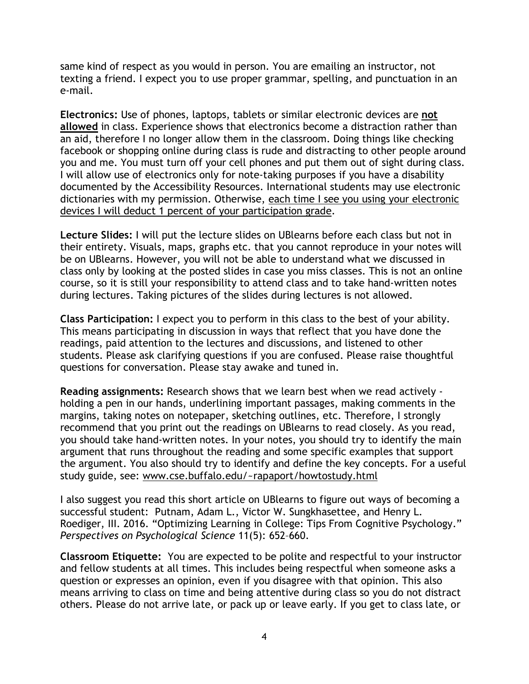same kind of respect as you would in person. You are emailing an instructor, not texting a friend. I expect you to use proper grammar, spelling, and punctuation in an e-mail.

**Electronics:** Use of phones, laptops, tablets or similar electronic devices are **not allowed** in class. Experience shows that electronics become a distraction rather than an aid, therefore I no longer allow them in the classroom. Doing things like checking facebook or shopping online during class is rude and distracting to other people around you and me. You must turn off your cell phones and put them out of sight during class. I will allow use of electronics only for note-taking purposes if you have a disability documented by the Accessibility Resources. International students may use electronic dictionaries with my permission. Otherwise, each time I see you using your electronic devices I will deduct 1 percent of your participation grade.

**Lecture Slides:** I will put the lecture slides on UBlearns before each class but not in their entirety. Visuals, maps, graphs etc. that you cannot reproduce in your notes will be on UBlearns. However, you will not be able to understand what we discussed in class only by looking at the posted slides in case you miss classes. This is not an online course, so it is still your responsibility to attend class and to take hand-written notes during lectures. Taking pictures of the slides during lectures is not allowed.

**Class Participation:** I expect you to perform in this class to the best of your ability. This means participating in discussion in ways that reflect that you have done the readings, paid attention to the lectures and discussions, and listened to other students. Please ask clarifying questions if you are confused. Please raise thoughtful questions for conversation. Please stay awake and tuned in.

**Reading assignments:** Research shows that we learn best when we read actively holding a pen in our hands, underlining important passages, making comments in the margins, taking notes on notepaper, sketching outlines, etc. Therefore, I strongly recommend that you print out the readings on UBlearns to read closely. As you read, you should take hand-written notes. In your notes, you should try to identify the main argument that runs throughout the reading and some specific examples that support the argument. You also should try to identify and define the key concepts. For a useful study guide, see: www.cse.buffalo.edu/~rapaport/howtostudy.html

I also suggest you read this short article on UBlearns to figure out ways of becoming a successful student: Putnam, Adam L., Victor W. Sungkhasettee, and Henry L. Roediger, III. 2016. "Optimizing Learning in College: Tips From Cognitive Psychology." *Perspectives on Psychological Science* 11(5): 652–660.

**Classroom Etiquette:** You are expected to be polite and respectful to your instructor and fellow students at all times. This includes being respectful when someone asks a question or expresses an opinion, even if you disagree with that opinion. This also means arriving to class on time and being attentive during class so you do not distract others. Please do not arrive late, or pack up or leave early. If you get to class late, or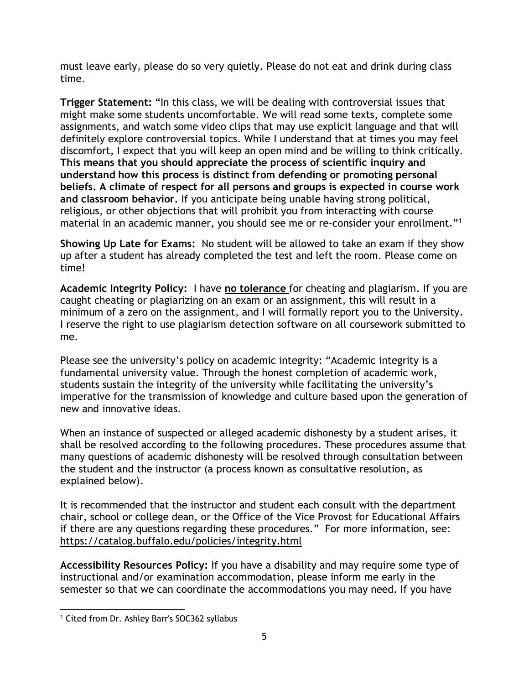must leave early, please do so very quietly. Please do not eat and drink during class time.

**Trigger Statement:** "In this class, we will be dealing with controversial issues that might make some students uncomfortable. We will read some texts, complete some assignments, and watch some video clips that may use explicit language and that will definitely explore controversial topics. While I understand that at times you may feel discomfort, I expect that you will keep an open mind and be willing to think critically. **This means that you should appreciate the process of scientific inquiry and understand how this process is distinct from defending or promoting personal beliefs. A climate of respect for all persons and groups is expected in course work and classroom behavior.** If you anticipate being unable having strong political, religious, or other objections that will prohibit you from interacting with course material in an academic manner, you should see me or re-consider your enrollment."<sup>1</sup>

**Showing Up Late for Exams:** No student will be allowed to take an exam if they show up after a student has already completed the test and left the room. Please come on time!

**Academic Integrity Policy:** I have **no tolerance** for cheating and plagiarism. If you are caught cheating or plagiarizing on an exam or an assignment, this will result in a minimum of a zero on the assignment, and I will formally report you to the University. I reserve the right to use plagiarism detection software on all coursework submitted to me.

Please see the university's policy on academic integrity: "Academic integrity is a fundamental university value. Through the honest completion of academic work, students sustain the integrity of the university while facilitating the university's imperative for the transmission of knowledge and culture based upon the generation of new and innovative ideas.

When an instance of suspected or alleged academic dishonesty by a student arises, it shall be resolved according to the following procedures. These procedures assume that many questions of academic dishonesty will be resolved through consultation between the student and the instructor (a process known as consultative resolution, as explained below).

It is recommended that the instructor and student each consult with the department chair, school or college dean, or the Office of the Vice Provost for Educational Affairs if there are any questions regarding these procedures." For more information, see: https://catalog.buffalo.edu/policies/integrity.html

**Accessibility Resources Policy:** If you have a disability and may require some type of instructional and/or examination accommodation, please inform me early in the semester so that we can coordinate the accommodations you may need. If you have

 $\overline{a}$ 

<sup>1</sup> Cited from Dr. Ashley Barr's SOC362 syllabus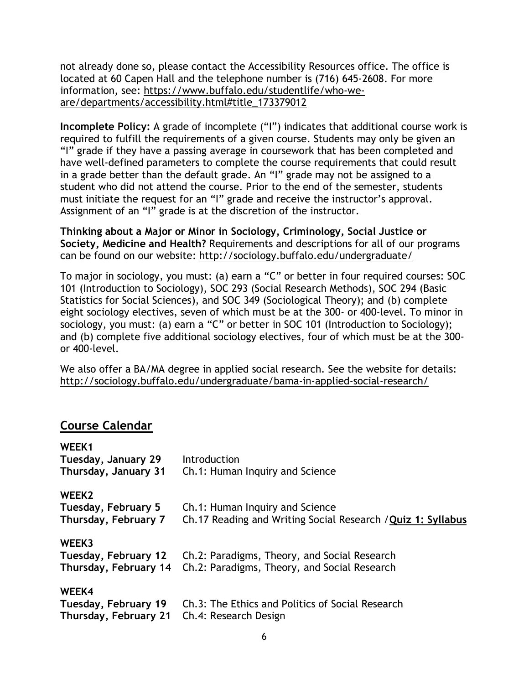not already done so, please contact the Accessibility Resources office. The office is located at 60 Capen Hall and the telephone number is (716) 645-2608. For more information, see: https://www.buffalo.edu/studentlife/who-weare/departments/accessibility.html#title\_173379012

**Incomplete Policy:** A grade of incomplete ("I") indicates that additional course work is required to fulfill the requirements of a given course. Students may only be given an "I" grade if they have a passing average in coursework that has been completed and have well-defined parameters to complete the course requirements that could result in a grade better than the default grade. An "I" grade may not be assigned to a student who did not attend the course. Prior to the end of the semester, students must initiate the request for an "I" grade and receive the instructor's approval. Assignment of an "I" grade is at the discretion of the instructor.

**Thinking about a Major or Minor in Sociology, Criminology, Social Justice or Society, Medicine and Health?** Requirements and descriptions for all of our programs can be found on our website: http://sociology.buffalo.edu/undergraduate/

To major in sociology, you must: (a) earn a "C" or better in four required courses: SOC 101 (Introduction to Sociology), SOC 293 (Social Research Methods), SOC 294 (Basic Statistics for Social Sciences), and SOC 349 (Sociological Theory); and (b) complete eight sociology electives, seven of which must be at the 300- or 400-level. To minor in sociology, you must: (a) earn a "C" or better in SOC 101 (Introduction to Sociology); and (b) complete five additional sociology electives, four of which must be at the 300 or 400-level.

We also offer a BA/MA degree in applied social research. See the website for details: http://sociology.buffalo.edu/undergraduate/bama-in-applied-social-research/

# **Course Calendar**

| WEEK1                 |                                                              |
|-----------------------|--------------------------------------------------------------|
| Tuesday, January 29   | <b>Introduction</b>                                          |
| Thursday, January 31  | Ch.1: Human Inquiry and Science                              |
| WEEK <sub>2</sub>     |                                                              |
| Tuesday, February 5   | Ch.1: Human Inquiry and Science                              |
| Thursday, February 7  | Ch.17 Reading and Writing Social Research / Quiz 1: Syllabus |
| WEEK3                 |                                                              |
| Tuesday, February 12  | Ch.2: Paradigms, Theory, and Social Research                 |
| Thursday, February 14 | Ch.2: Paradigms, Theory, and Social Research                 |
| WEEK4                 |                                                              |
| Tuesday, February 19  | Ch.3: The Ethics and Politics of Social Research             |
| Thursday, February 21 | Ch.4: Research Design                                        |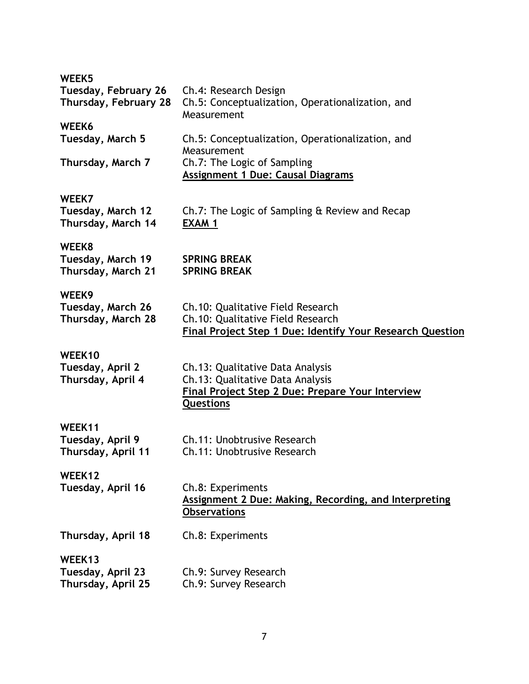| WEEK <sub>5</sub>     |                                                                         |
|-----------------------|-------------------------------------------------------------------------|
| Tuesday, February 26  | Ch.4: Research Design                                                   |
| Thursday, February 28 | Ch.5: Conceptualization, Operationalization, and<br>Measurement         |
| WEEK6                 |                                                                         |
| Tuesday, March 5      | Ch.5: Conceptualization, Operationalization, and<br>Measurement         |
| Thursday, March 7     | Ch.7: The Logic of Sampling<br><b>Assignment 1 Due: Causal Diagrams</b> |
|                       |                                                                         |

## **WEEK7**

| Tuesday, March 12  | Ch.7: The Logic of Sampling & Review and Recap |
|--------------------|------------------------------------------------|
| Thursday, March 14 | EXAM 1                                         |

## **WEEK8**

| Tuesday, March 19  | <b>SPRING BREAK</b> |
|--------------------|---------------------|
| Thursday, March 21 | <b>SPRING BREAK</b> |

### **WEEK9**

| Tuesday, March 26  | Ch.10: Qualitative Field Research                         |
|--------------------|-----------------------------------------------------------|
| Thursday, March 28 | Ch.10: Qualitative Field Research                         |
|                    | Final Project Step 1 Due: Identify Your Research Question |

### **WEEK10**

| Tuesday, April 2  | Ch.13: Qualitative Data Analysis                 |
|-------------------|--------------------------------------------------|
| Thursday, April 4 | Ch.13: Qualitative Data Analysis                 |
|                   | Final Project Step 2 Due: Prepare Your Interview |
|                   | <b>Questions</b>                                 |

# **WEEK11**

| .                  |                             |
|--------------------|-----------------------------|
| Tuesday, April 9   | Ch.11: Unobtrusive Research |
| Thursday, April 11 | Ch.11: Unobtrusive Research |

# WEEK12<br>Tuesday, April 16

**Ch.8: Experiments Assignment 2 Due: Making, Recording, and Interpreting Observations**

**Thursday, April 18** Ch.8: Experiments

# **WEEK13**

| Tuesday, April 23  | Ch.9: Survey Research |
|--------------------|-----------------------|
| Thursday, April 25 | Ch.9: Survey Research |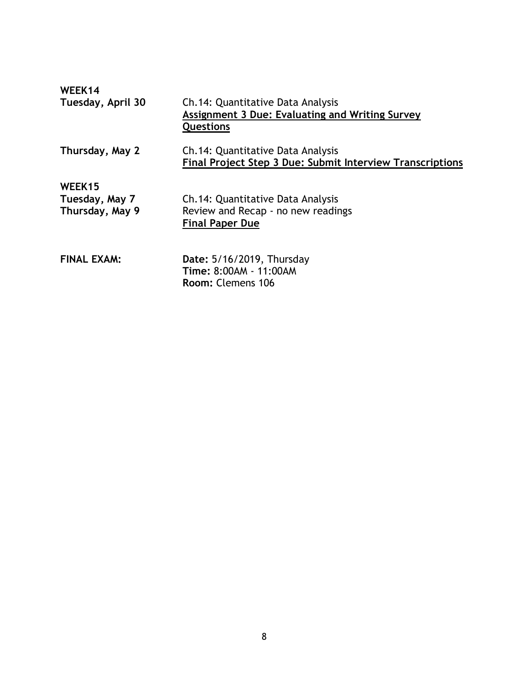| WEEK14<br>Tuesday, April 30                 | Ch.14: Quantitative Data Analysis<br><b>Assignment 3 Due: Evaluating and Writing Survey</b><br><b>Questions</b> |
|---------------------------------------------|-----------------------------------------------------------------------------------------------------------------|
| Thursday, May 2                             | Ch.14: Quantitative Data Analysis<br>Final Project Step 3 Due: Submit Interview Transcriptions                  |
| WEEK15<br>Tuesday, May 7<br>Thursday, May 9 | Ch.14: Quantitative Data Analysis<br>Review and Recap - no new readings<br><b>Final Paper Due</b>               |
| <b>FINAL EXAM:</b>                          | Date: 5/16/2019, Thursday<br>Time: 8:00AM - 11:00AM<br>Room: Clemens 106                                        |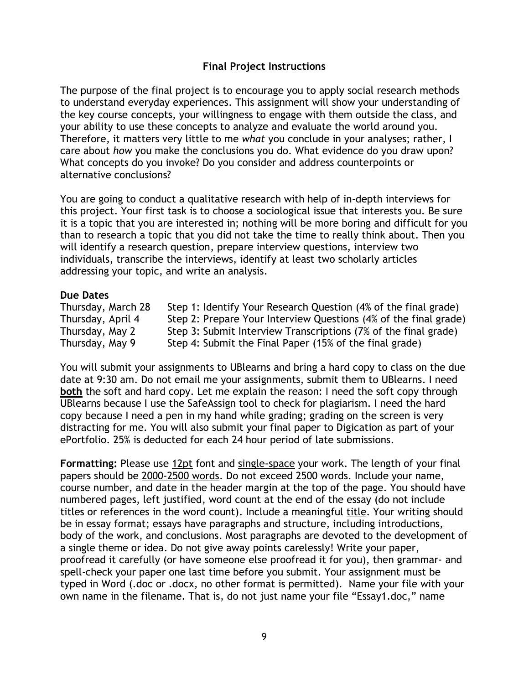# **Final Project Instructions**

The purpose of the final project is to encourage you to apply social research methods to understand everyday experiences. This assignment will show your understanding of the key course concepts, your willingness to engage with them outside the class, and your ability to use these concepts to analyze and evaluate the world around you. Therefore, it matters very little to me *what* you conclude in your analyses; rather, I care about *how* you make the conclusions you do. What evidence do you draw upon? What concepts do you invoke? Do you consider and address counterpoints or alternative conclusions?

You are going to conduct a qualitative research with help of in-depth interviews for this project. Your first task is to choose a sociological issue that interests you. Be sure it is a topic that you are interested in; nothing will be more boring and difficult for you than to research a topic that you did not take the time to really think about. Then you will identify a research question, prepare interview questions, interview two individuals, transcribe the interviews, identify at least two scholarly articles addressing your topic, and write an analysis.

#### **Due Dates**

Thursday, March 28 Step 1: Identify Your Research Question (4% of the final grade) Thursday, April 4 Step 2: Prepare Your Interview Questions (4% of the final grade) Thursday, May 2 Step 3: Submit Interview Transcriptions (7% of the final grade) Thursday, May 9 Step 4: Submit the Final Paper (15% of the final grade)

You will submit your assignments to UBlearns and bring a hard copy to class on the due date at 9:30 am. Do not email me your assignments, submit them to UBlearns. I need **both** the soft and hard copy. Let me explain the reason: I need the soft copy through UBlearns because I use the SafeAssign tool to check for plagiarism. I need the hard copy because I need a pen in my hand while grading; grading on the screen is very distracting for me. You will also submit your final paper to Digication as part of your ePortfolio. 25% is deducted for each 24 hour period of late submissions.

**Formatting:** Please use 12pt font and single-space your work. The length of your final papers should be 2000-2500 words. Do not exceed 2500 words. Include your name, course number, and date in the header margin at the top of the page. You should have numbered pages, left justified, word count at the end of the essay (do not include titles or references in the word count). Include a meaningful title. Your writing should be in essay format; essays have paragraphs and structure, including introductions, body of the work, and conclusions. Most paragraphs are devoted to the development of a single theme or idea. Do not give away points carelessly! Write your paper, proofread it carefully (or have someone else proofread it for you), then grammar- and spell-check your paper one last time before you submit. Your assignment must be typed in Word (.doc or .docx, no other format is permitted). Name your file with your own name in the filename. That is, do not just name your file "Essay1.doc," name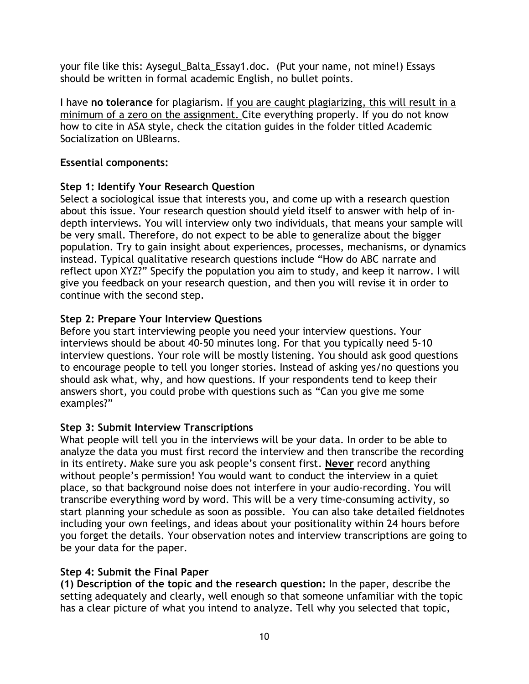your file like this: Aysegul\_Balta\_Essay1.doc. (Put your name, not mine!) Essays should be written in formal academic English, no bullet points.

I have **no tolerance** for plagiarism. If you are caught plagiarizing, this will result in a minimum of a zero on the assignment. Cite everything properly. If you do not know how to cite in ASA style, check the citation guides in the folder titled Academic Socialization on UBlearns.

# **Essential components:**

# **Step 1: Identify Your Research Question**

Select a sociological issue that interests you, and come up with a research question about this issue. Your research question should yield itself to answer with help of indepth interviews. You will interview only two individuals, that means your sample will be very small. Therefore, do not expect to be able to generalize about the bigger population. Try to gain insight about experiences, processes, mechanisms, or dynamics instead. Typical qualitative research questions include "How do ABC narrate and reflect upon XYZ?" Specify the population you aim to study, and keep it narrow. I will give you feedback on your research question, and then you will revise it in order to continue with the second step.

# **Step 2: Prepare Your Interview Questions**

Before you start interviewing people you need your interview questions. Your interviews should be about 40-50 minutes long. For that you typically need 5-10 interview questions. Your role will be mostly listening. You should ask good questions to encourage people to tell you longer stories. Instead of asking yes/no questions you should ask what, why, and how questions. If your respondents tend to keep their answers short, you could probe with questions such as "Can you give me some examples?"

### **Step 3: Submit Interview Transcriptions**

What people will tell you in the interviews will be your data. In order to be able to analyze the data you must first record the interview and then transcribe the recording in its entirety. Make sure you ask people's consent first. **Never** record anything without people's permission! You would want to conduct the interview in a quiet place, so that background noise does not interfere in your audio-recording. You will transcribe everything word by word. This will be a very time-consuming activity, so start planning your schedule as soon as possible. You can also take detailed fieldnotes including your own feelings, and ideas about your positionality within 24 hours before you forget the details. Your observation notes and interview transcriptions are going to be your data for the paper.

### **Step 4: Submit the Final Paper**

**(1) Description of the topic and the research question:** In the paper, describe the setting adequately and clearly, well enough so that someone unfamiliar with the topic has a clear picture of what you intend to analyze. Tell why you selected that topic,